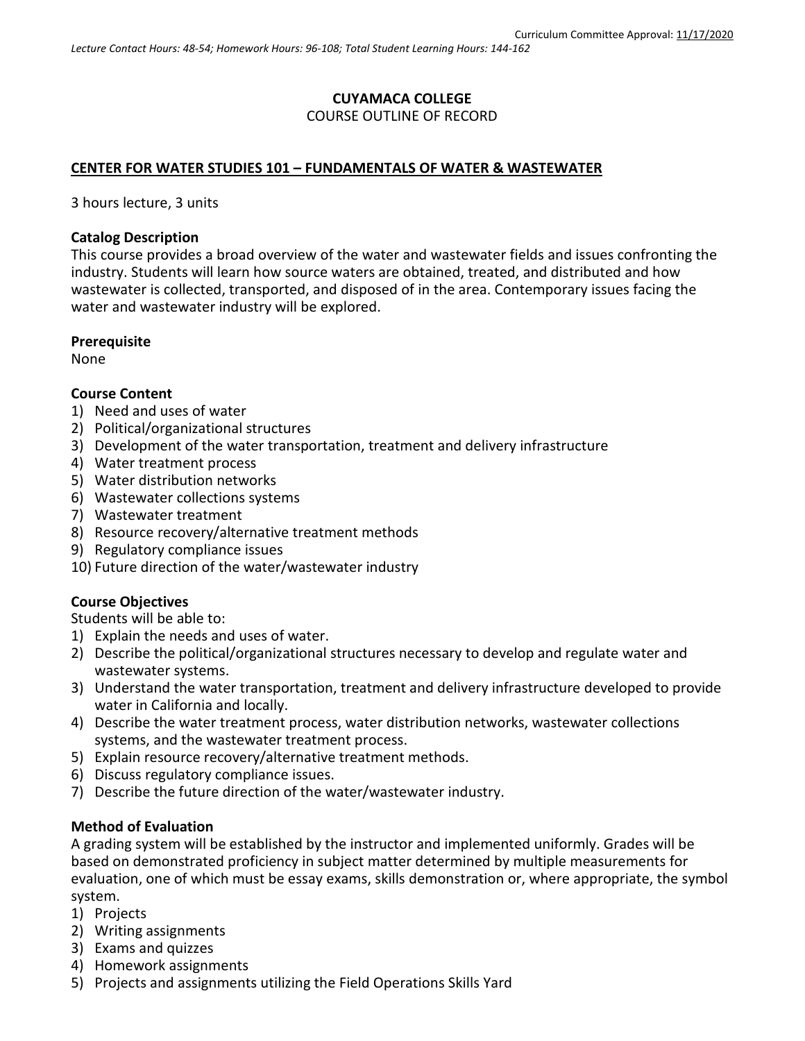# **CUYAMACA COLLEGE** COURSE OUTLINE OF RECORD

## **CENTER FOR WATER STUDIES 101 – FUNDAMENTALS OF WATER & WASTEWATER**

3 hours lecture, 3 units

### **Catalog Description**

This course provides a broad overview of the water and wastewater fields and issues confronting the industry. Students will learn how source waters are obtained, treated, and distributed and how wastewater is collected, transported, and disposed of in the area. Contemporary issues facing the water and wastewater industry will be explored.

### **Prerequisite**

None

### **Course Content**

- 1) Need and uses of water
- 2) Political/organizational structures
- 3) Development of the water transportation, treatment and delivery infrastructure
- 4) Water treatment process
- 5) Water distribution networks
- 6) Wastewater collections systems
- 7) Wastewater treatment
- 8) Resource recovery/alternative treatment methods
- 9) Regulatory compliance issues
- 10) Future direction of the water/wastewater industry

### **Course Objectives**

Students will be able to:

- 1) Explain the needs and uses of water.
- 2) Describe the political/organizational structures necessary to develop and regulate water and wastewater systems.
- 3) Understand the water transportation, treatment and delivery infrastructure developed to provide water in California and locally.
- 4) Describe the water treatment process, water distribution networks, wastewater collections systems, and the wastewater treatment process.
- 5) Explain resource recovery/alternative treatment methods.
- 6) Discuss regulatory compliance issues.
- 7) Describe the future direction of the water/wastewater industry.

### **Method of Evaluation**

A grading system will be established by the instructor and implemented uniformly. Grades will be based on demonstrated proficiency in subject matter determined by multiple measurements for evaluation, one of which must be essay exams, skills demonstration or, where appropriate, the symbol system.

- 1) Projects
- 2) Writing assignments
- 3) Exams and quizzes
- 4) Homework assignments
- 5) Projects and assignments utilizing the Field Operations Skills Yard